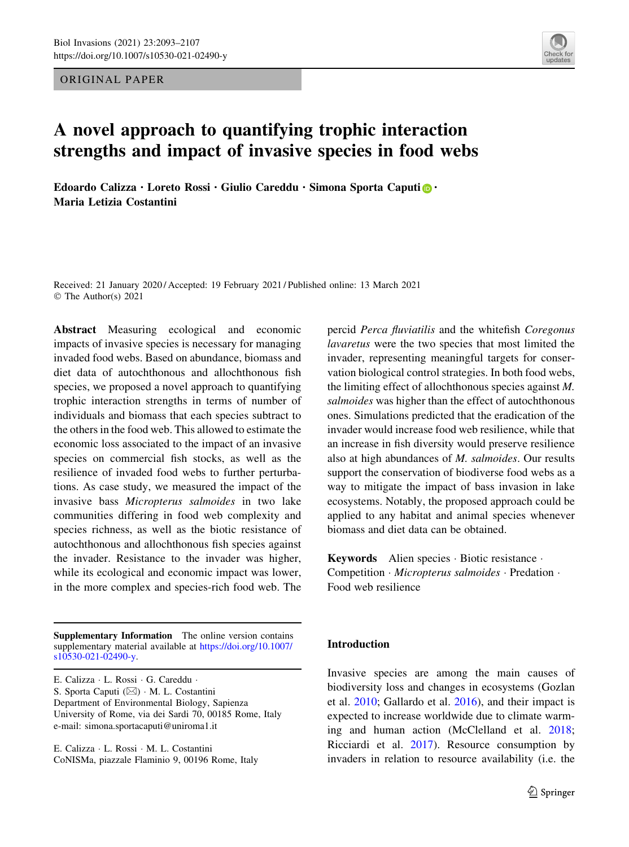ORIGINAL PAPER



# A novel approach to quantifying trophic interaction strengths and impact of invasive species in food webs

Edoardo Calizza  $\cdot$  Loreto Rossi  $\cdot$  Giulio Careddu  $\cdot$  Simona Sporta Caputi  $\circledcirc$   $\cdot$ Maria Letizia Costantini

Received: 21 January 2020 / Accepted: 19 February 2021 / Published online: 13 March 2021 © The Author(s) 2021

Abstract Measuring ecological and economic impacts of invasive species is necessary for managing invaded food webs. Based on abundance, biomass and diet data of autochthonous and allochthonous fish species, we proposed a novel approach to quantifying trophic interaction strengths in terms of number of individuals and biomass that each species subtract to the others in the food web. This allowed to estimate the economic loss associated to the impact of an invasive species on commercial fish stocks, as well as the resilience of invaded food webs to further perturbations. As case study, we measured the impact of the invasive bass Micropterus salmoides in two lake communities differing in food web complexity and species richness, as well as the biotic resistance of autochthonous and allochthonous fish species against the invader. Resistance to the invader was higher, while its ecological and economic impact was lower, in the more complex and species-rich food web. The

Supplementary Information The online version contains supplementary material available at [https://doi.org/10.1007/](https://doi.org/10.1007/s10530-021-02490-y) [s10530-021-02490-y](https://doi.org/10.1007/s10530-021-02490-y).

E. Calizza - L. Rossi - G. Careddu - S. Sporta Caputi (&) - M. L. Costantini Department of Environmental Biology, Sapienza University of Rome, via dei Sardi 70, 00185 Rome, Italy e-mail: simona.sportacaputi@uniroma1.it

E. Calizza - L. Rossi - M. L. Costantini CoNISMa, piazzale Flaminio 9, 00196 Rome, Italy percid Perca fluviatilis and the whitefish Coregonus lavaretus were the two species that most limited the invader, representing meaningful targets for conservation biological control strategies. In both food webs, the limiting effect of allochthonous species against M. salmoides was higher than the effect of autochthonous ones. Simulations predicted that the eradication of the invader would increase food web resilience, while that an increase in fish diversity would preserve resilience also at high abundances of M. salmoides. Our results support the conservation of biodiverse food webs as a way to mitigate the impact of bass invasion in lake ecosystems. Notably, the proposed approach could be applied to any habitat and animal species whenever biomass and diet data can be obtained.

Keywords Alien species - Biotic resistance - Competition · Micropterus salmoides · Predation · Food web resilience

# Introduction

Invasive species are among the main causes of biodiversity loss and changes in ecosystems (Gozlan et al. [2010](#page-12-0); Gallardo et al. [2016](#page-12-0)), and their impact is expected to increase worldwide due to climate warming and human action (McClelland et al. [2018](#page-13-0); Ricciardi et al. [2017](#page-13-0)). Resource consumption by invaders in relation to resource availability (i.e. the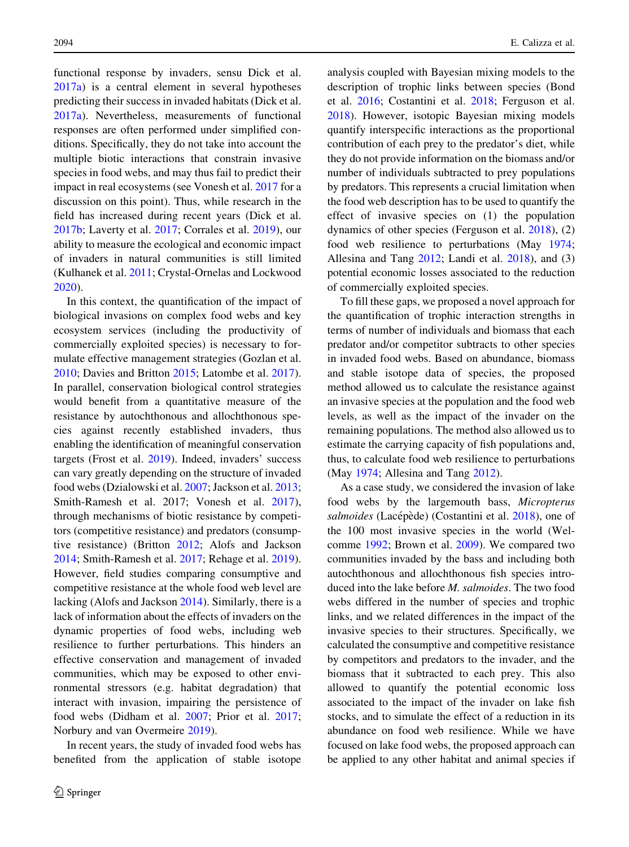functional response by invaders, sensu Dick et al. [2017a](#page-12-0)) is a central element in several hypotheses predicting their success in invaded habitats (Dick et al. [2017a](#page-12-0)). Nevertheless, measurements of functional responses are often performed under simplified conditions. Specifically, they do not take into account the multiple biotic interactions that constrain invasive species in food webs, and may thus fail to predict their impact in real ecosystems (see Vonesh et al. [2017](#page-14-0) for a discussion on this point). Thus, while research in the field has increased during recent years (Dick et al. [2017b;](#page-12-0) Laverty et al. [2017;](#page-13-0) Corrales et al. [2019](#page-12-0)), our ability to measure the ecological and economic impact of invaders in natural communities is still limited (Kulhanek et al. [2011](#page-13-0); Crystal-Ornelas and Lockwood [2020\)](#page-12-0).

In this context, the quantification of the impact of biological invasions on complex food webs and key ecosystem services (including the productivity of commercially exploited species) is necessary to formulate effective management strategies (Gozlan et al. [2010;](#page-12-0) Davies and Britton [2015](#page-12-0); Latombe et al. [2017](#page-13-0)). In parallel, conservation biological control strategies would benefit from a quantitative measure of the resistance by autochthonous and allochthonous species against recently established invaders, thus enabling the identification of meaningful conservation targets (Frost et al. [2019\)](#page-12-0). Indeed, invaders' success can vary greatly depending on the structure of invaded food webs (Dzialowski et al. [2007;](#page-12-0) Jackson et al. [2013](#page-13-0); Smith-Ramesh et al. 2017; Vonesh et al. [2017](#page-14-0)), through mechanisms of biotic resistance by competitors (competitive resistance) and predators (consumptive resistance) (Britton [2012;](#page-12-0) Alofs and Jackson [2014;](#page-12-0) Smith-Ramesh et al. [2017](#page-14-0); Rehage et al. [2019](#page-14-0)). However, field studies comparing consumptive and competitive resistance at the whole food web level are lacking (Alofs and Jackson [2014\)](#page-12-0). Similarly, there is a lack of information about the effects of invaders on the dynamic properties of food webs, including web resilience to further perturbations. This hinders an effective conservation and management of invaded communities, which may be exposed to other environmental stressors (e.g. habitat degradation) that interact with invasion, impairing the persistence of food webs (Didham et al. [2007](#page-12-0); Prior et al. [2017](#page-13-0); Norbury and van Overmeire [2019](#page-13-0)).

In recent years, the study of invaded food webs has benefited from the application of stable isotope analysis coupled with Bayesian mixing models to the description of trophic links between species (Bond et al. [2016;](#page-12-0) Costantini et al. [2018;](#page-12-0) Ferguson et al. [2018\)](#page-12-0). However, isotopic Bayesian mixing models quantify interspecific interactions as the proportional contribution of each prey to the predator's diet, while they do not provide information on the biomass and/or number of individuals subtracted to prey populations by predators. This represents a crucial limitation when the food web description has to be used to quantify the effect of invasive species on (1) the population dynamics of other species (Ferguson et al. [2018\)](#page-12-0), (2) food web resilience to perturbations (May [1974](#page-13-0); Allesina and Tang [2012;](#page-12-0) Landi et al. [2018](#page-13-0)), and (3) potential economic losses associated to the reduction of commercially exploited species.

To fill these gaps, we proposed a novel approach for the quantification of trophic interaction strengths in terms of number of individuals and biomass that each predator and/or competitor subtracts to other species in invaded food webs. Based on abundance, biomass and stable isotope data of species, the proposed method allowed us to calculate the resistance against an invasive species at the population and the food web levels, as well as the impact of the invader on the remaining populations. The method also allowed us to estimate the carrying capacity of fish populations and, thus, to calculate food web resilience to perturbations (May [1974](#page-13-0); Allesina and Tang [2012\)](#page-12-0).

As a case study, we considered the invasion of lake food webs by the largemouth bass, Micropterus salmoides (Lacépède) (Costantini et al. [2018\)](#page-12-0), one of the 100 most invasive species in the world (Welcomme [1992](#page-14-0); Brown et al. [2009\)](#page-12-0). We compared two communities invaded by the bass and including both autochthonous and allochthonous fish species introduced into the lake before M. salmoides. The two food webs differed in the number of species and trophic links, and we related differences in the impact of the invasive species to their structures. Specifically, we calculated the consumptive and competitive resistance by competitors and predators to the invader, and the biomass that it subtracted to each prey. This also allowed to quantify the potential economic loss associated to the impact of the invader on lake fish stocks, and to simulate the effect of a reduction in its abundance on food web resilience. While we have focused on lake food webs, the proposed approach can be applied to any other habitat and animal species if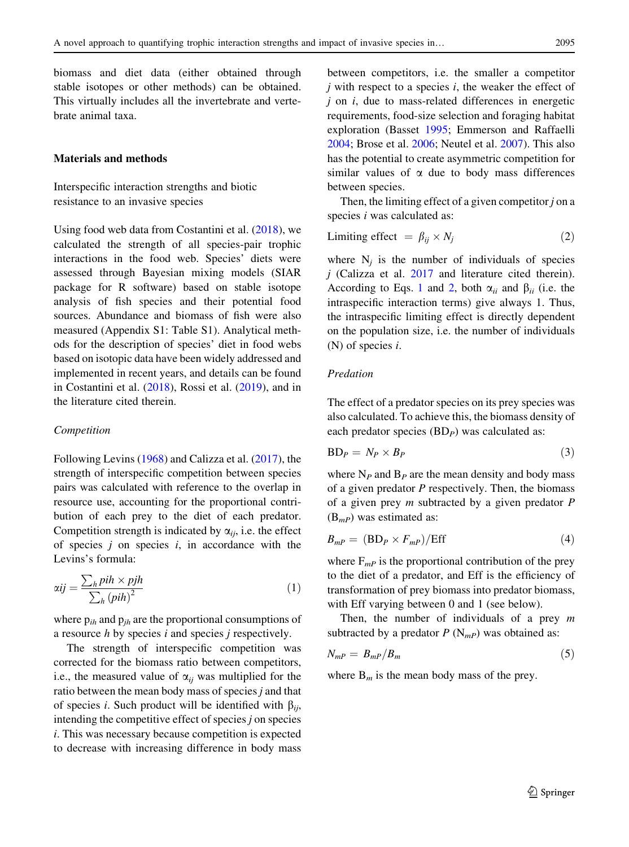<span id="page-2-0"></span>biomass and diet data (either obtained through stable isotopes or other methods) can be obtained. This virtually includes all the invertebrate and vertebrate animal taxa.

## Materials and methods

Interspecific interaction strengths and biotic resistance to an invasive species

Using food web data from Costantini et al. [\(2018](#page-12-0)), we calculated the strength of all species-pair trophic interactions in the food web. Species' diets were assessed through Bayesian mixing models (SIAR package for R software) based on stable isotope analysis of fish species and their potential food sources. Abundance and biomass of fish were also measured (Appendix S1: Table S1). Analytical methods for the description of species' diet in food webs based on isotopic data have been widely addressed and implemented in recent years, and details can be found in Costantini et al. ([2018\)](#page-12-0), Rossi et al. [\(2019](#page-14-0)), and in the literature cited therein.

#### Competition

Following Levins ([1968\)](#page-13-0) and Calizza et al. ([2017\)](#page-12-0), the strength of interspecific competition between species pairs was calculated with reference to the overlap in resource use, accounting for the proportional contribution of each prey to the diet of each predator. Competition strength is indicated by  $\alpha_{ii}$ , i.e. the effect of species  $j$  on species  $i$ , in accordance with the Levins's formula:

$$
\alpha ij = \frac{\sum_{h} pih \times pjh}{\sum_{h} (pih)^{2}}
$$
\n(1)

where  $p_{ih}$  and  $p_{ih}$  are the proportional consumptions of a resource  $h$  by species  $i$  and species  $j$  respectively.

The strength of interspecific competition was corrected for the biomass ratio between competitors, i.e., the measured value of  $\alpha_{ii}$  was multiplied for the ratio between the mean body mass of species j and that of species *i*. Such product will be identified with  $\beta_{ii}$ , intending the competitive effect of species  $j$  on species i. This was necessary because competition is expected to decrease with increasing difference in body mass between competitors, i.e. the smaller a competitor  $j$  with respect to a species  $i$ , the weaker the effect of  $j$  on  $i$ , due to mass-related differences in energetic requirements, food-size selection and foraging habitat exploration (Basset [1995;](#page-12-0) Emmerson and Raffaelli [2004;](#page-12-0) Brose et al. [2006](#page-12-0); Neutel et al. [2007](#page-13-0)). This also has the potential to create asymmetric competition for similar values of  $\alpha$  due to body mass differences between species.

Then, the limiting effect of a given competitor  $j$  on a species *i* was calculated as:

$$
Limiting effect = \beta_{ij} \times N_j \tag{2}
$$

where  $N_i$  is the number of individuals of species  $j$  (Calizza et al. [2017](#page-12-0) and literature cited therein). According to Eqs. 1 and 2, both  $\alpha_{ii}$  and  $\beta_{ii}$  (i.e. the intraspecific interaction terms) give always 1. Thus, the intraspecific limiting effect is directly dependent on the population size, i.e. the number of individuals (N) of species i.

## Predation

The effect of a predator species on its prey species was also calculated. To achieve this, the biomass density of each predator species  $(BD<sub>P</sub>)$  was calculated as:

$$
BD_P = N_P \times B_P \tag{3}
$$

where  $N_P$  and  $B_P$  are the mean density and body mass of a given predator  $P$  respectively. Then, the biomass of a given prey  $m$  subtracted by a given predator  $P$  $(B_{mP})$  was estimated as:

$$
B_{mP} = (BD_P \times F_{mP})/Eff
$$
 (4)

where  $F_{mP}$  is the proportional contribution of the prey to the diet of a predator, and Eff is the efficiency of transformation of prey biomass into predator biomass, with Eff varying between 0 and 1 (see below).

Then, the number of individuals of a prey  $m$ subtracted by a predator  $P(N_{mP})$  was obtained as:

$$
N_{mP} = B_{mP}/B_m \tag{5}
$$

where  $B_m$  is the mean body mass of the prey.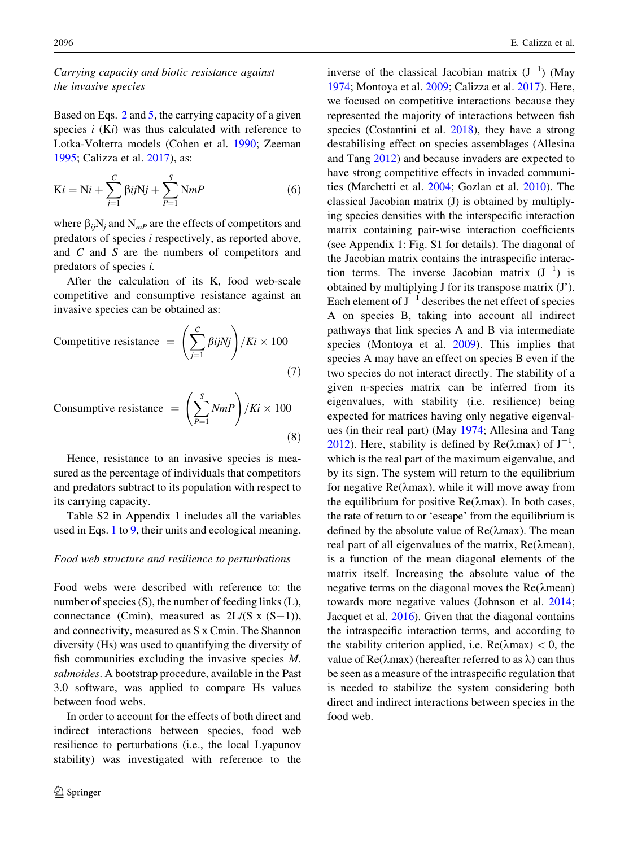# Carrying capacity and biotic resistance against the invasive species

Based on Eqs. [2](#page-2-0) and [5](#page-2-0), the carrying capacity of a given species  $i$  (Ki) was thus calculated with reference to Lotka-Volterra models (Cohen et al. [1990;](#page-12-0) Zeeman [1995;](#page-14-0) Calizza et al. [2017\)](#page-12-0), as:

$$
Ki = Ni + \sum_{j=1}^{C} \beta ijNj + \sum_{P=1}^{S} NmP
$$
\n(6)

where  $\beta_{ij}N_j$  and  $N_{mP}$  are the effects of competitors and predators of species i respectively, as reported above, and C and S are the numbers of competitors and predators of species i.

After the calculation of its K, food web-scale competitive and consumptive resistance against an invasive species can be obtained as:

$$
\text{Competitive resistance} = \left(\sum_{j=1}^{C} \beta i j N j\right) / Ki \times 100\tag{7}
$$

$$
Consumptive resistance = \left(\sum_{P=1}^{S} NmP\right) / Ki \times 100\tag{8}
$$

Hence, resistance to an invasive species is measured as the percentage of individuals that competitors and predators subtract to its population with respect to its carrying capacity.

Table S2 in Appendix 1 includes all the variables used in Eqs. [1](#page-2-0) to [9,](#page-4-0) their units and ecological meaning.

## Food web structure and resilience to perturbations

Food webs were described with reference to: the number of species (S), the number of feeding links (L), connectance (Cmin), measured as  $2L/(S \times (S-1))$ , and connectivity, measured as S x Cmin. The Shannon diversity (Hs) was used to quantifying the diversity of fish communities excluding the invasive species M. salmoides. A bootstrap procedure, available in the Past 3.0 software, was applied to compare Hs values between food webs.

In order to account for the effects of both direct and indirect interactions between species, food web resilience to perturbations (i.e., the local Lyapunov stability) was investigated with reference to the

inverse of the classical Jacobian matrix  $(J^{-1})$  (May [1974;](#page-13-0) Montoya et al. [2009](#page-13-0); Calizza et al. [2017](#page-12-0)). Here, we focused on competitive interactions because they represented the majority of interactions between fish species (Costantini et al. [2018](#page-12-0)), they have a strong destabilising effect on species assemblages (Allesina and Tang [2012](#page-12-0)) and because invaders are expected to have strong competitive effects in invaded communities (Marchetti et al. [2004](#page-13-0); Gozlan et al. [2010](#page-12-0)). The classical Jacobian matrix (J) is obtained by multiplying species densities with the interspecific interaction matrix containing pair-wise interaction coefficients (see Appendix 1: Fig. S1 for details). The diagonal of the Jacobian matrix contains the intraspecific interaction terms. The inverse Jacobian matrix  $(J^{-1})$  is obtained by multiplying J for its transpose matrix (J'). Each element of  $J^{-1}$  describes the net effect of species A on species B, taking into account all indirect pathways that link species A and B via intermediate species (Montoya et al. [2009](#page-13-0)). This implies that species A may have an effect on species B even if the two species do not interact directly. The stability of a given n-species matrix can be inferred from its eigenvalues, with stability (i.e. resilience) being expected for matrices having only negative eigenvalues (in their real part) (May [1974](#page-13-0); Allesina and Tang [2012\)](#page-12-0). Here, stability is defined by  $Re(\lambda max)$  of  $J^{-1}$ , which is the real part of the maximum eigenvalue, and by its sign. The system will return to the equilibrium for negative  $Re(\lambda max)$ , while it will move away from the equilibrium for positive  $\text{Re}(\lambda \text{max})$ . In both cases, the rate of return to or 'escape' from the equilibrium is defined by the absolute value of  $Re(\lambda max)$ . The mean real part of all eigenvalues of the matrix,  $Re(\lambda$ mean), is a function of the mean diagonal elements of the matrix itself. Increasing the absolute value of the negative terms on the diagonal moves the  $Re(\lambda$ mean) towards more negative values (Johnson et al. [2014](#page-12-0); Jacquet et al. [2016\)](#page-13-0). Given that the diagonal contains the intraspecific interaction terms, and according to the stability criterion applied, i.e.  $\text{Re}(\lambda \text{max}) < 0$ , the value of  $Re(\lambda max)$  (hereafter referred to as  $\lambda$ ) can thus be seen as a measure of the intraspecific regulation that is needed to stabilize the system considering both direct and indirect interactions between species in the food web.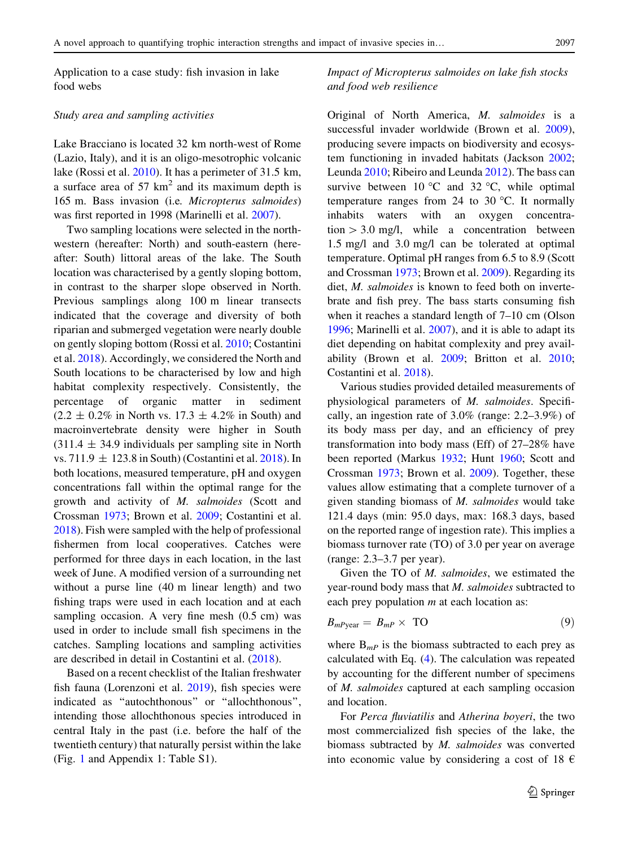<span id="page-4-0"></span>Application to a case study: fish invasion in lake food webs

## Study area and sampling activities

Lake Bracciano is located 32 km north-west of Rome (Lazio, Italy), and it is an oligo-mesotrophic volcanic lake (Rossi et al. [2010](#page-14-0)). It has a perimeter of 31.5 km, a surface area of  $57 \text{ km}^2$  and its maximum depth is 165 m. Bass invasion (i.e. Micropterus salmoides) was first reported in 1998 (Marinelli et al. [2007\)](#page-13-0).

Two sampling locations were selected in the northwestern (hereafter: North) and south-eastern (hereafter: South) littoral areas of the lake. The South location was characterised by a gently sloping bottom, in contrast to the sharper slope observed in North. Previous samplings along 100 m linear transects indicated that the coverage and diversity of both riparian and submerged vegetation were nearly double on gently sloping bottom (Rossi et al. [2010](#page-14-0); Costantini et al. [2018\)](#page-12-0). Accordingly, we considered the North and South locations to be characterised by low and high habitat complexity respectively. Consistently, the percentage of organic matter in sediment  $(2.2 \pm 0.2\%$  in North vs. 17.3  $\pm$  4.2% in South) and macroinvertebrate density were higher in South  $(311.4 \pm 34.9)$  individuals per sampling site in North vs. 711.9  $\pm$  123.8 in South) (Costantini et al. [2018](#page-12-0)). In both locations, measured temperature, pH and oxygen concentrations fall within the optimal range for the growth and activity of M. salmoides (Scott and Crossman [1973](#page-14-0); Brown et al. [2009;](#page-12-0) Costantini et al. [2018\)](#page-12-0). Fish were sampled with the help of professional fishermen from local cooperatives. Catches were performed for three days in each location, in the last week of June. A modified version of a surrounding net without a purse line (40 m linear length) and two fishing traps were used in each location and at each sampling occasion. A very fine mesh (0.5 cm) was used in order to include small fish specimens in the catches. Sampling locations and sampling activities are described in detail in Costantini et al. [\(2018](#page-12-0)).

Based on a recent checklist of the Italian freshwater fish fauna (Lorenzoni et al. [2019\)](#page-13-0), fish species were indicated as ''autochthonous'' or ''allochthonous'', intending those allochthonous species introduced in central Italy in the past (i.e. before the half of the twentieth century) that naturally persist within the lake (Fig. [1](#page-5-0) and Appendix 1: Table S1).

Impact of Micropterus salmoides on lake fish stocks and food web resilience

Original of North America, M. salmoides is a successful invader worldwide (Brown et al. [2009](#page-12-0)), producing severe impacts on biodiversity and ecosystem functioning in invaded habitats (Jackson [2002](#page-13-0); Leunda [2010;](#page-13-0) Ribeiro and Leunda [2012\)](#page-13-0). The bass can survive between  $10^{\circ}$ C and  $32^{\circ}$ C, while optimal temperature ranges from 24 to 30  $^{\circ}$ C. It normally inhabits waters with an oxygen concentra- $\text{tion} > 3.0 \text{ mg/l}$ , while a concentration between 1.5 mg/l and 3.0 mg/l can be tolerated at optimal temperature. Optimal pH ranges from 6.5 to 8.9 (Scott and Crossman [1973;](#page-14-0) Brown et al. [2009](#page-12-0)). Regarding its diet, M. salmoides is known to feed both on invertebrate and fish prey. The bass starts consuming fish when it reaches a standard length of 7–10 cm (Olson [1996;](#page-13-0) Marinelli et al. [2007\)](#page-13-0), and it is able to adapt its diet depending on habitat complexity and prey availability (Brown et al. [2009;](#page-12-0) Britton et al. [2010](#page-12-0); Costantini et al. [2018](#page-12-0)).

Various studies provided detailed measurements of physiological parameters of M. salmoides. Specifically, an ingestion rate of 3.0% (range: 2.2–3.9%) of its body mass per day, and an efficiency of prey transformation into body mass (Eff) of 27–28% have been reported (Markus [1932](#page-13-0); Hunt [1960](#page-13-0); Scott and Crossman [1973](#page-14-0); Brown et al. [2009](#page-12-0)). Together, these values allow estimating that a complete turnover of a given standing biomass of  $M$ . salmoides would take 121.4 days (min: 95.0 days, max: 168.3 days, based on the reported range of ingestion rate). This implies a biomass turnover rate (TO) of 3.0 per year on average (range: 2.3–3.7 per year).

Given the TO of M. salmoides, we estimated the year-round body mass that M. salmoides subtracted to each prey population  $m$  at each location as:

$$
B_{mP \text{year}} = B_{mP} \times \text{TO}
$$
 (9)

where  $B_{mP}$  is the biomass subtracted to each prey as calculated with Eq. [\(4](#page-2-0)). The calculation was repeated by accounting for the different number of specimens of M. salmoides captured at each sampling occasion and location.

For Perca fluviatilis and Atherina boyeri, the two most commercialized fish species of the lake, the biomass subtracted by M. salmoides was converted into economic value by considering a cost of 18  $\epsilon$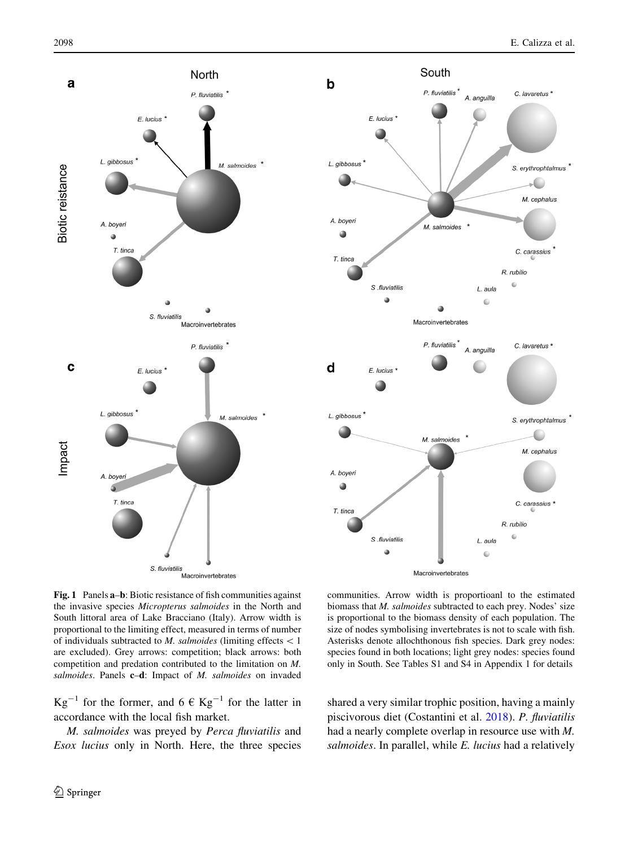<span id="page-5-0"></span>



Fig. 1 Panels a–b: Biotic resistance of fish communities against the invasive species Micropterus salmoides in the North and South littoral area of Lake Bracciano (Italy). Arrow width is proportional to the limiting effect, measured in terms of number of individuals subtracted to *M. salmoides* (limiting effects  $\lt 1$ are excluded). Grey arrows: competition; black arrows: both competition and predation contributed to the limitation on M. salmoides. Panels c-d: Impact of M. salmoides on invaded

 $Kg^{-1}$  for the former, and  $6 \in Kg^{-1}$  for the latter in accordance with the local fish market.

M. salmoides was preyed by Perca fluviatilis and Esox lucius only in North. Here, the three species

communities. Arrow width is proportioanl to the estimated biomass that *M. salmoides* subtracted to each prey. Nodes' size is proportional to the biomass density of each population. The size of nodes symbolising invertebrates is not to scale with fish. Asterisks denote allochthonous fish species. Dark grey nodes: species found in both locations; light grey nodes: species found only in South. See Tables S1 and S4 in Appendix 1 for details

shared a very similar trophic position, having a mainly piscivorous diet (Costantini et al. [2018\)](#page-12-0). P. fluviatilis had a nearly complete overlap in resource use with M. salmoides. In parallel, while E. lucius had a relatively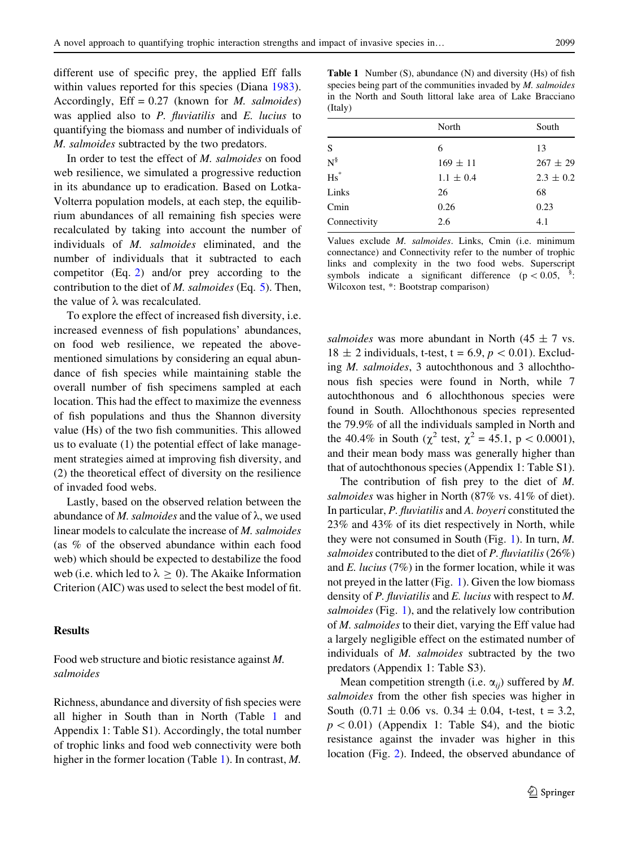different use of specific prey, the applied Eff falls within values reported for this species (Diana [1983](#page-12-0)). Accordingly,  $Eff = 0.27$  (known for *M. salmoides*) was applied also to  $P$ . *fluviatilis* and  $E$ . *lucius* to quantifying the biomass and number of individuals of

In order to test the effect of M. salmoides on food web resilience, we simulated a progressive reduction in its abundance up to eradication. Based on Lotka-Volterra population models, at each step, the equilibrium abundances of all remaining fish species were recalculated by taking into account the number of individuals of M. salmoides eliminated, and the number of individuals that it subtracted to each competitor (Eq. [2](#page-2-0)) and/or prey according to the contribution to the diet of *M. salmoides* (Eq.  $5$ ). Then, the value of  $\lambda$  was recalculated.

M. salmoides subtracted by the two predators.

To explore the effect of increased fish diversity, i.e. increased evenness of fish populations' abundances, on food web resilience, we repeated the abovementioned simulations by considering an equal abundance of fish species while maintaining stable the overall number of fish specimens sampled at each location. This had the effect to maximize the evenness of fish populations and thus the Shannon diversity value (Hs) of the two fish communities. This allowed us to evaluate (1) the potential effect of lake management strategies aimed at improving fish diversity, and (2) the theoretical effect of diversity on the resilience of invaded food webs.

Lastly, based on the observed relation between the abundance of M. salmoides and the value of  $\lambda$ , we used linear models to calculate the increase of M. salmoides (as % of the observed abundance within each food web) which should be expected to destabilize the food web (i.e. which led to  $\lambda \geq 0$ ). The Akaike Information Criterion (AIC) was used to select the best model of fit.

## Results

Food web structure and biotic resistance against M. salmoides

Richness, abundance and diversity of fish species were all higher in South than in North (Table 1 and Appendix 1: Table S1). Accordingly, the total number of trophic links and food web connectivity were both higher in the former location (Table 1). In contrast, M.

Table 1 Number (S), abundance (N) and diversity (Hs) of fish species being part of the communities invaded by M. salmoides in the North and South littoral lake area of Lake Bracciano (Italy)

|                 | North         | South         |  |
|-----------------|---------------|---------------|--|
| S               | 6             | 13            |  |
| $\mathrm{N}^\S$ | $169 \pm 11$  | $267 \pm 29$  |  |
| $\mathrm{Hs}^*$ | $1.1 \pm 0.4$ | $2.3 \pm 0.2$ |  |
| Links           | 26            | 68            |  |
| Cmin            | 0.26          | 0.23          |  |
| Connectivity    | 2.6           | 4.1           |  |
|                 |               |               |  |

Values exclude M. salmoides. Links, Cmin (i.e. minimum connectance) and Connectivity refer to the number of trophic links and complexity in the two food webs. Superscript symbols indicate a significant difference ( $p \lt 0.05$ , : Wilcoxon test, \*: Bootstrap comparison)

salmoides was more abundant in North (45  $\pm$  7 vs.  $18 \pm 2$  individuals, t-test, t = 6.9,  $p < 0.01$ ). Excluding M. salmoides, 3 autochthonous and 3 allochthonous fish species were found in North, while 7 autochthonous and 6 allochthonous species were found in South. Allochthonous species represented the 79.9% of all the individuals sampled in North and the 40.4% in South ( $\chi^2$  test,  $\chi^2 = 45.1$ , p < 0.0001), and their mean body mass was generally higher than that of autochthonous species (Appendix 1: Table S1).

The contribution of fish prey to the diet of M. salmoides was higher in North (87% vs. 41% of diet). In particular, P. fluviatilis and A. boyeri constituted the 23% and 43% of its diet respectively in North, while they were not consumed in South (Fig. [1\)](#page-5-0). In turn, M. salmoides contributed to the diet of P. fluviatilis (26%) and  $E$ . *lucius* (7%) in the former location, while it was not preyed in the latter (Fig. [1\)](#page-5-0). Given the low biomass density of P. fluviatilis and E. lucius with respect to M. salmoides (Fig. [1\)](#page-5-0), and the relatively low contribution of M. salmoides to their diet, varying the Eff value had a largely negligible effect on the estimated number of individuals of M. salmoides subtracted by the two predators (Appendix 1: Table S3).

Mean competition strength (i.e.  $\alpha_{ii}$ ) suffered by M. salmoides from the other fish species was higher in South  $(0.71 \pm 0.06 \text{ vs. } 0.34 \pm 0.04, \text{ t-test}, \text{ t = 3.2},$  $p < 0.01$ ) (Appendix 1: Table S4), and the biotic resistance against the invader was higher in this location (Fig. [2](#page-7-0)). Indeed, the observed abundance of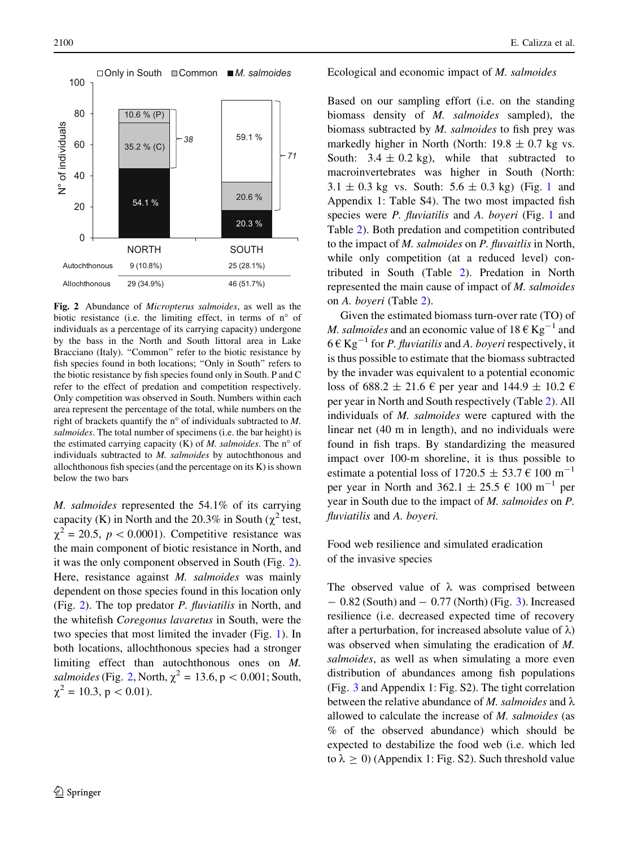<span id="page-7-0"></span>

Fig. 2 Abundance of Micropterus salmoides, as well as the biotic resistance (i.e. the limiting effect, in terms of  $n^{\circ}$  of individuals as a percentage of its carrying capacity) undergone by the bass in the North and South littoral area in Lake Bracciano (Italy). "Common" refer to the biotic resistance by fish species found in both locations; "Only in South" refers to the biotic resistance by fish species found only in South. P and C refer to the effect of predation and competition respectively. Only competition was observed in South. Numbers within each area represent the percentage of the total, while numbers on the right of brackets quantify the n<sup>o</sup> of individuals subtracted to  $M$ . salmoides. The total number of specimens (i.e. the bar height) is the estimated carrying capacity  $(K)$  of M. salmoides. The n<sup>o</sup> of individuals subtracted to M. salmoides by autochthonous and allochthonous fish species (and the percentage on its K) is shown below the two bars

M. salmoides represented the 54.1% of its carrying capacity (K) in North and the 20.3% in South ( $\chi^2$  test,  $\chi^2$  = 20.5, p < 0.0001). Competitive resistance was the main component of biotic resistance in North, and it was the only component observed in South (Fig. 2). Here, resistance against *M. salmoides* was mainly dependent on those species found in this location only (Fig. 2). The top predator P. fluviatilis in North, and the whitefish Coregonus lavaretus in South, were the two species that most limited the invader (Fig. [1\)](#page-5-0). In both locations, allochthonous species had a stronger limiting effect than autochthonous ones on M. salmoides (Fig. 2, North,  $\chi^2 = 13.6$ , p < 0.001; South,  $\chi^2 = 10.3$ , p < 0.01).

### Ecological and economic impact of M. salmoides

Based on our sampling effort (i.e. on the standing biomass density of M. salmoides sampled), the biomass subtracted by M. salmoides to fish prey was markedly higher in North (North:  $19.8 \pm 0.7$  kg vs. South:  $3.4 \pm 0.2$  kg), while that subtracted to macroinvertebrates was higher in South (North:  $3.1 \pm 0.3$  $3.1 \pm 0.3$  $3.1 \pm 0.3$  kg vs. South:  $5.6 \pm 0.3$  kg) (Fig. 1 and Appendix 1: Table S4). The two most impacted fish species were *P. fluviatilis* and *A. boyeri* (Fig. [1](#page-5-0) and Table [2](#page-8-0)). Both predation and competition contributed to the impact of M. salmoides on P. fluvaitlis in North, while only competition (at a reduced level) contributed in South (Table [2](#page-8-0)). Predation in North represented the main cause of impact of M. salmoides on A. boyeri (Table [2](#page-8-0)).

Given the estimated biomass turn-over rate (TO) of *M. salmoides* and an economic value of  $18 \text{ }\epsilon \text{ Kg}^{-1}$  and  $6 \in \text{Kg}^{-1}$  for *P. fluviatilis* and *A. boyeri* respectively, it is thus possible to estimate that the biomass subtracted by the invader was equivalent to a potential economic loss of 688.2  $\pm$  21.6  $\epsilon$  per year and 144.9  $\pm$  10.2  $\epsilon$ per year in North and South respectively (Table [2\)](#page-8-0). All individuals of M. salmoides were captured with the linear net (40 m in length), and no individuals were found in fish traps. By standardizing the measured impact over 100-m shoreline, it is thus possible to estimate a potential loss of  $1720.5 \pm 53.7 \in 100 \text{ m}^{-1}$ per year in North and  $362.1 \pm 25.5 \in 100 \text{ m}^{-1}$  per year in South due to the impact of M. salmoides on P. fluviatilis and A. boyeri.

Food web resilience and simulated eradication of the invasive species

The observed value of  $\lambda$  was comprised between  $-0.82$  (South) and  $-0.77$  (North) (Fig. [3](#page-8-0)). Increased resilience (i.e. decreased expected time of recovery after a perturbation, for increased absolute value of  $\lambda$ ) was observed when simulating the eradication of M. salmoides, as well as when simulating a more even distribution of abundances among fish populations (Fig. [3](#page-8-0) and Appendix 1: Fig. S2). The tight correlation between the relative abundance of M. salmoides and  $\lambda$ allowed to calculate the increase of M. salmoides (as % of the observed abundance) which should be expected to destabilize the food web (i.e. which led to  $\lambda > 0$ ) (Appendix 1: Fig. S2). Such threshold value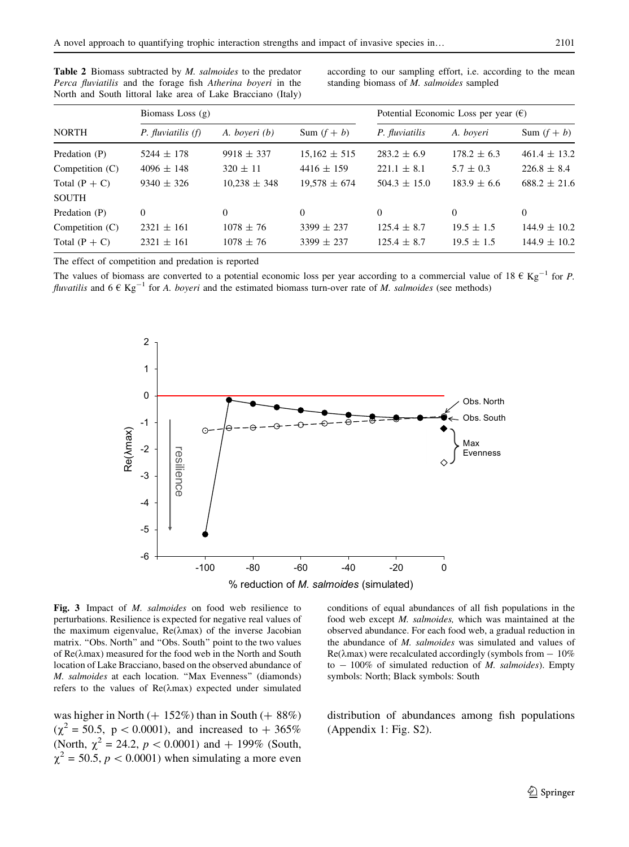| <b>NORTH</b>      | Biomass Loss $(g)$     |                  |                  | Potential Economic Loss per year $(\epsilon)$ |                 |                  |
|-------------------|------------------------|------------------|------------------|-----------------------------------------------|-----------------|------------------|
|                   | $P.$ fluviatilis $(f)$ | A. boyeri (b)    | Sum $(f + b)$    | P. fluviatilis                                | A. boyeri       | Sum $(f + b)$    |
| Predation (P)     | $5244 \pm 178$         | $9918 \pm 337$   | $15,162 \pm 515$ | $283.2 \pm 6.9$                               | $178.2 \pm 6.3$ | $461.4 \pm 13.2$ |
| Competition $(C)$ | $4096 \pm 148$         | $320 \pm 11$     | $4416 \pm 159$   | $221.1 \pm 8.1$                               | $5.7 \pm 0.3$   | $226.8 \pm 8.4$  |
| Total $(P + C)$   | $9340 \pm 326$         | $10.238 \pm 348$ | $19.578 \pm 674$ | $504.3 \pm 15.0$                              | $183.9 \pm 6.6$ | $688.2 \pm 21.6$ |
| <b>SOUTH</b>      |                        |                  |                  |                                               |                 |                  |
| Predation (P)     | $\Omega$               | $\Omega$         | $\Omega$         | $\Omega$                                      | $\Omega$        | $\Omega$         |
| Competition $(C)$ | $2321 \pm 161$         | $1078 \pm 76$    | $3399 \pm 237$   | $125.4 \pm 8.7$                               | $19.5 \pm 1.5$  | $144.9 \pm 10.2$ |
| Total $(P + C)$   | $2321 \pm 161$         | $1078 \pm 76$    | $3399 \pm 237$   | $125.4 \pm 8.7$                               | $19.5 \pm 1.5$  | $144.9 \pm 10.2$ |

<span id="page-8-0"></span>Table 2 Biomass subtracted by *M. salmoides* to the predator Perca fluviatilis and the forage fish Atherina boyeri in the North and South littoral lake area of Lake Bracciano (Italy)

according to our sampling effort, i.e. according to the mean standing biomass of M. salmoides sampled

The effect of competition and predation is reported

The values of biomass are converted to a potential economic loss per year according to a commercial value of 18  $\epsilon$  Kg<sup>-1</sup> for P. fluvatilis and  $6 \in \text{Kg}^{-1}$  for A. boyeri and the estimated biomass turn-over rate of M. salmoides (see methods)



Fig. 3 Impact of *M. salmoides* on food web resilience to perturbations. Resilience is expected for negative real values of the maximum eigenvalue,  $Re(\lambda max)$  of the inverse Jacobian matrix. "Obs. North" and "Obs. South" point to the two values of  $Re(\lambda max)$  measured for the food web in the North and South location of Lake Bracciano, based on the observed abundance of M. salmoides at each location. ''Max Evenness'' (diamonds) refers to the values of  $Re(\lambda max)$  expected under simulated

was higher in North  $(+ 152\%)$  than in South  $(+ 88\%)$  $(\chi^2 = 50.5, p < 0.0001)$ , and increased to  $+ 365\%$ (North,  $\chi^2 = 24.2$ ,  $p < 0.0001$ ) and  $+ 199\%$  (South,  $\chi^2$  = 50.5, p < 0.0001) when simulating a more even

conditions of equal abundances of all fish populations in the food web except M. salmoides, which was maintained at the observed abundance. For each food web, a gradual reduction in the abundance of M. salmoides was simulated and values of  $Re(\lambda max)$  were recalculated accordingly (symbols from  $-10\%$ to  $-100\%$  of simulated reduction of *M. salmoides*). Empty symbols: North; Black symbols: South

distribution of abundances among fish populations (Appendix 1: Fig. S2).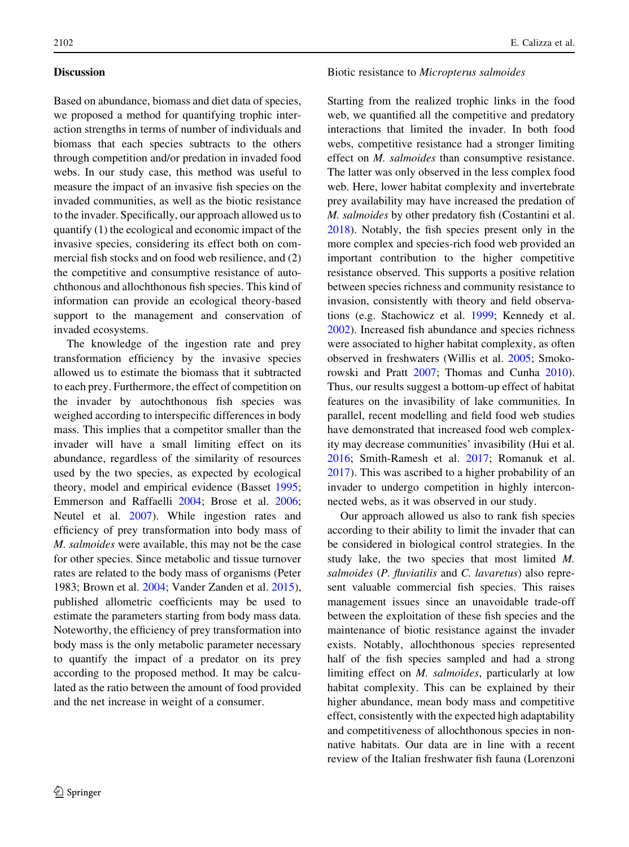# Discussion

Based on abundance, biomass and diet data of species, we proposed a method for quantifying trophic interaction strengths in terms of number of individuals and biomass that each species subtracts to the others through competition and/or predation in invaded food webs. In our study case, this method was useful to measure the impact of an invasive fish species on the invaded communities, as well as the biotic resistance to the invader. Specifically, our approach allowed us to quantify (1) the ecological and economic impact of the invasive species, considering its effect both on commercial fish stocks and on food web resilience, and (2) the competitive and consumptive resistance of autochthonous and allochthonous fish species. This kind of information can provide an ecological theory-based support to the management and conservation of invaded ecosystems.

The knowledge of the ingestion rate and prey transformation efficiency by the invasive species allowed us to estimate the biomass that it subtracted to each prey. Furthermore, the effect of competition on the invader by autochthonous fish species was weighed according to interspecific differences in body mass. This implies that a competitor smaller than the invader will have a small limiting effect on its abundance, regardless of the similarity of resources used by the two species, as expected by ecological theory, model and empirical evidence (Basset [1995](#page-12-0); Emmerson and Raffaelli [2004](#page-12-0); Brose et al. [2006](#page-12-0); Neutel et al. [2007](#page-13-0)). While ingestion rates and efficiency of prey transformation into body mass of M. salmoides were available, this may not be the case for other species. Since metabolic and tissue turnover rates are related to the body mass of organisms (Peter 1983; Brown et al. [2004](#page-12-0); Vander Zanden et al. [2015](#page-14-0)), published allometric coefficients may be used to estimate the parameters starting from body mass data. Noteworthy, the efficiency of prey transformation into body mass is the only metabolic parameter necessary to quantify the impact of a predator on its prey according to the proposed method. It may be calculated as the ratio between the amount of food provided and the net increase in weight of a consumer.

#### Biotic resistance to Micropterus salmoides

Starting from the realized trophic links in the food web, we quantified all the competitive and predatory interactions that limited the invader. In both food webs, competitive resistance had a stronger limiting effect on M. salmoides than consumptive resistance. The latter was only observed in the less complex food web. Here, lower habitat complexity and invertebrate prey availability may have increased the predation of M. salmoides by other predatory fish (Costantini et al. [2018\)](#page-12-0). Notably, the fish species present only in the more complex and species-rich food web provided an important contribution to the higher competitive resistance observed. This supports a positive relation between species richness and community resistance to invasion, consistently with theory and field observations (e.g. Stachowicz et al. [1999;](#page-14-0) Kennedy et al. [2002\)](#page-13-0). Increased fish abundance and species richness were associated to higher habitat complexity, as often observed in freshwaters (Willis et al. [2005](#page-14-0); Smokorowski and Pratt [2007;](#page-14-0) Thomas and Cunha [2010](#page-14-0)). Thus, our results suggest a bottom-up effect of habitat features on the invasibility of lake communities. In parallel, recent modelling and field food web studies have demonstrated that increased food web complexity may decrease communities' invasibility (Hui et al. [2016;](#page-13-0) Smith-Ramesh et al. [2017;](#page-14-0) Romanuk et al. [2017\)](#page-13-0). This was ascribed to a higher probability of an invader to undergo competition in highly interconnected webs, as it was observed in our study.

Our approach allowed us also to rank fish species according to their ability to limit the invader that can be considered in biological control strategies. In the study lake, the two species that most limited M. salmoides (P. fluviatilis and C. lavaretus) also represent valuable commercial fish species. This raises management issues since an unavoidable trade-off between the exploitation of these fish species and the maintenance of biotic resistance against the invader exists. Notably, allochthonous species represented half of the fish species sampled and had a strong limiting effect on M. salmoides, particularly at low habitat complexity. This can be explained by their higher abundance, mean body mass and competitive effect, consistently with the expected high adaptability and competitiveness of allochthonous species in nonnative habitats. Our data are in line with a recent review of the Italian freshwater fish fauna (Lorenzoni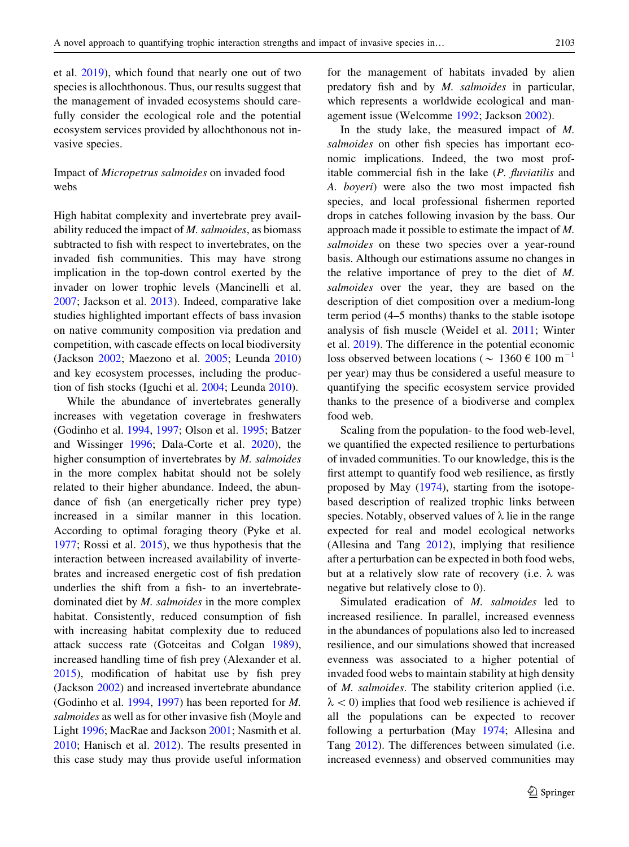et al. [2019\)](#page-13-0), which found that nearly one out of two species is allochthonous. Thus, our results suggest that the management of invaded ecosystems should carefully consider the ecological role and the potential ecosystem services provided by allochthonous not invasive species.

# Impact of Micropetrus salmoides on invaded food webs

High habitat complexity and invertebrate prey availability reduced the impact of M. salmoides, as biomass subtracted to fish with respect to invertebrates, on the invaded fish communities. This may have strong implication in the top-down control exerted by the invader on lower trophic levels (Mancinelli et al. [2007;](#page-13-0) Jackson et al. [2013\)](#page-13-0). Indeed, comparative lake studies highlighted important effects of bass invasion on native community composition via predation and competition, with cascade effects on local biodiversity (Jackson [2002;](#page-13-0) Maezono et al. [2005](#page-13-0); Leunda [2010\)](#page-13-0) and key ecosystem processes, including the production of fish stocks (Iguchi et al. [2004](#page-13-0); Leunda [2010\)](#page-13-0).

While the abundance of invertebrates generally increases with vegetation coverage in freshwaters (Godinho et al. [1994](#page-12-0), [1997;](#page-12-0) Olson et al. [1995](#page-13-0); Batzer and Wissinger [1996;](#page-12-0) Dala-Corte et al. [2020\)](#page-12-0), the higher consumption of invertebrates by M. salmoides in the more complex habitat should not be solely related to their higher abundance. Indeed, the abundance of fish (an energetically richer prey type) increased in a similar manner in this location. According to optimal foraging theory (Pyke et al. [1977;](#page-13-0) Rossi et al. [2015\)](#page-13-0), we thus hypothesis that the interaction between increased availability of invertebrates and increased energetic cost of fish predation underlies the shift from a fish- to an invertebratedominated diet by M. salmoides in the more complex habitat. Consistently, reduced consumption of fish with increasing habitat complexity due to reduced attack success rate (Gotceitas and Colgan [1989](#page-12-0)), increased handling time of fish prey (Alexander et al. [2015\)](#page-12-0), modification of habitat use by fish prey (Jackson [2002](#page-13-0)) and increased invertebrate abundance (Godinho et al. [1994,](#page-12-0) [1997](#page-12-0)) has been reported for M. salmoides as well as for other invasive fish (Moyle and Light [1996;](#page-13-0) MacRae and Jackson [2001;](#page-13-0) Nasmith et al. [2010;](#page-13-0) Hanisch et al. [2012\)](#page-13-0). The results presented in this case study may thus provide useful information for the management of habitats invaded by alien predatory fish and by M. salmoides in particular, which represents a worldwide ecological and management issue (Welcomme [1992;](#page-14-0) Jackson [2002\)](#page-13-0).

In the study lake, the measured impact of M. salmoides on other fish species has important economic implications. Indeed, the two most profitable commercial fish in the lake (P. fluviatilis and A. boyeri) were also the two most impacted fish species, and local professional fishermen reported drops in catches following invasion by the bass. Our approach made it possible to estimate the impact of M. salmoides on these two species over a year-round basis. Although our estimations assume no changes in the relative importance of prey to the diet of M. salmoides over the year, they are based on the description of diet composition over a medium-long term period (4–5 months) thanks to the stable isotope analysis of fish muscle (Weidel et al. [2011;](#page-14-0) Winter et al. [2019](#page-14-0)). The difference in the potential economic loss observed between locations ( $\sim 1360 \text{ } \text{ } \text{ } 6100 \text{ m}^{-1}$ per year) may thus be considered a useful measure to quantifying the specific ecosystem service provided thanks to the presence of a biodiverse and complex food web.

Scaling from the population- to the food web-level, we quantified the expected resilience to perturbations of invaded communities. To our knowledge, this is the first attempt to quantify food web resilience, as firstly proposed by May ([1974\)](#page-13-0), starting from the isotopebased description of realized trophic links between species. Notably, observed values of  $\lambda$  lie in the range expected for real and model ecological networks (Allesina and Tang [2012\)](#page-12-0), implying that resilience after a perturbation can be expected in both food webs, but at a relatively slow rate of recovery (i.e.  $\lambda$  was negative but relatively close to 0).

Simulated eradication of M. salmoides led to increased resilience. In parallel, increased evenness in the abundances of populations also led to increased resilience, and our simulations showed that increased evenness was associated to a higher potential of invaded food webs to maintain stability at high density of M. salmoides. The stability criterion applied (i.e.  $\lambda$  < 0) implies that food web resilience is achieved if all the populations can be expected to recover following a perturbation (May [1974](#page-13-0); Allesina and Tang [2012\)](#page-12-0). The differences between simulated (i.e. increased evenness) and observed communities may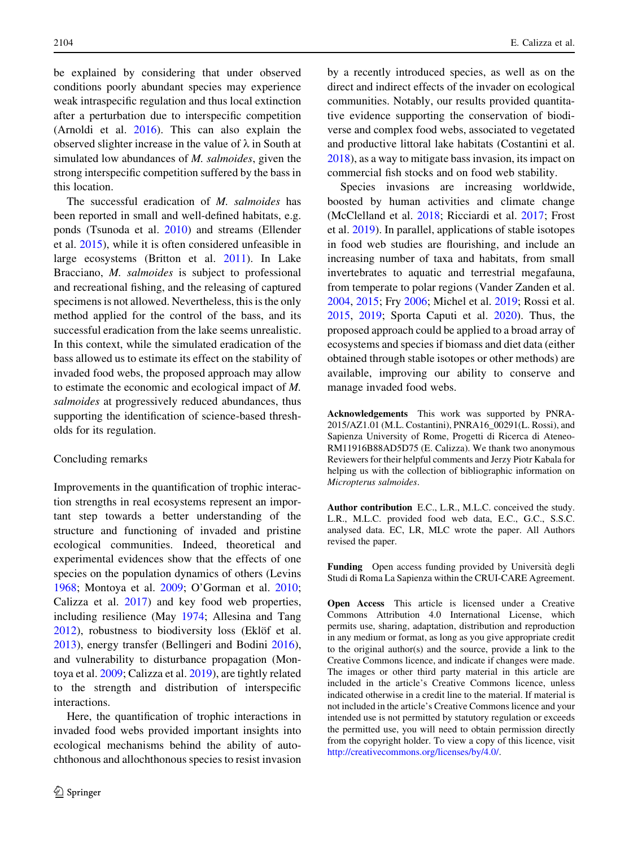be explained by considering that under observed conditions poorly abundant species may experience weak intraspecific regulation and thus local extinction after a perturbation due to interspecific competition (Arnoldi et al. [2016](#page-12-0)). This can also explain the observed slighter increase in the value of  $\lambda$  in South at simulated low abundances of *M. salmoides*, given the strong interspecific competition suffered by the bass in this location.

The successful eradication of M. salmoides has been reported in small and well-defined habitats, e.g. ponds (Tsunoda et al. [2010](#page-14-0)) and streams (Ellender et al. [2015](#page-12-0)), while it is often considered unfeasible in large ecosystems (Britton et al. [2011\)](#page-12-0). In Lake Bracciano, *M. salmoides* is subject to professional and recreational fishing, and the releasing of captured specimens is not allowed. Nevertheless, this is the only method applied for the control of the bass, and its successful eradication from the lake seems unrealistic. In this context, while the simulated eradication of the bass allowed us to estimate its effect on the stability of invaded food webs, the proposed approach may allow to estimate the economic and ecological impact of M. salmoides at progressively reduced abundances, thus supporting the identification of science-based thresholds for its regulation.

#### Concluding remarks

Improvements in the quantification of trophic interaction strengths in real ecosystems represent an important step towards a better understanding of the structure and functioning of invaded and pristine ecological communities. Indeed, theoretical and experimental evidences show that the effects of one species on the population dynamics of others (Levins [1968;](#page-13-0) Montoya et al. [2009](#page-13-0); O'Gorman et al. [2010](#page-13-0); Calizza et al. [2017](#page-12-0)) and key food web properties, including resilience (May [1974;](#page-13-0) Allesina and Tang [2012\)](#page-12-0), robustness to biodiversity loss (Eklöf et al. [2013\)](#page-12-0), energy transfer (Bellingeri and Bodini [2016](#page-12-0)), and vulnerability to disturbance propagation (Montoya et al. [2009;](#page-13-0) Calizza et al. [2019\)](#page-12-0), are tightly related to the strength and distribution of interspecific interactions.

Here, the quantification of trophic interactions in invaded food webs provided important insights into ecological mechanisms behind the ability of autochthonous and allochthonous species to resist invasion by a recently introduced species, as well as on the direct and indirect effects of the invader on ecological communities. Notably, our results provided quantitative evidence supporting the conservation of biodiverse and complex food webs, associated to vegetated and productive littoral lake habitats (Costantini et al. [2018\)](#page-12-0), as a way to mitigate bass invasion, its impact on commercial fish stocks and on food web stability.

Species invasions are increasing worldwide, boosted by human activities and climate change (McClelland et al. [2018;](#page-13-0) Ricciardi et al. [2017;](#page-13-0) Frost et al. [2019\)](#page-12-0). In parallel, applications of stable isotopes in food web studies are flourishing, and include an increasing number of taxa and habitats, from small invertebrates to aquatic and terrestrial megafauna, from temperate to polar regions (Vander Zanden et al. [2004,](#page-14-0) [2015;](#page-14-0) Fry [2006;](#page-12-0) Michel et al. [2019](#page-13-0); Rossi et al. [2015,](#page-13-0) [2019](#page-14-0); Sporta Caputi et al. [2020\)](#page-14-0). Thus, the proposed approach could be applied to a broad array of ecosystems and species if biomass and diet data (either obtained through stable isotopes or other methods) are available, improving our ability to conserve and manage invaded food webs.

Acknowledgements This work was supported by PNRA-2015/AZ1.01 (M.L. Costantini), PNRA16\_00291(L. Rossi), and Sapienza University of Rome, Progetti di Ricerca di Ateneo-RM11916B88AD5D75 (E. Calizza). We thank two anonymous Reviewers for their helpful comments and Jerzy Piotr Kabala for helping us with the collection of bibliographic information on Micropterus salmoides.

Author contribution E.C., L.R., M.L.C. conceived the study. L.R., M.L.C. provided food web data, E.C., G.C., S.S.C. analysed data. EC, LR, MLC wrote the paper. All Authors revised the paper.

Funding Open access funding provided by Università degli Studi di Roma La Sapienza within the CRUI-CARE Agreement.

Open Access This article is licensed under a Creative Commons Attribution 4.0 International License, which permits use, sharing, adaptation, distribution and reproduction in any medium or format, as long as you give appropriate credit to the original author(s) and the source, provide a link to the Creative Commons licence, and indicate if changes were made. The images or other third party material in this article are included in the article's Creative Commons licence, unless indicated otherwise in a credit line to the material. If material is not included in the article's Creative Commons licence and your intended use is not permitted by statutory regulation or exceeds the permitted use, you will need to obtain permission directly from the copyright holder. To view a copy of this licence, visit <http://creativecommons.org/licenses/by/4.0/>.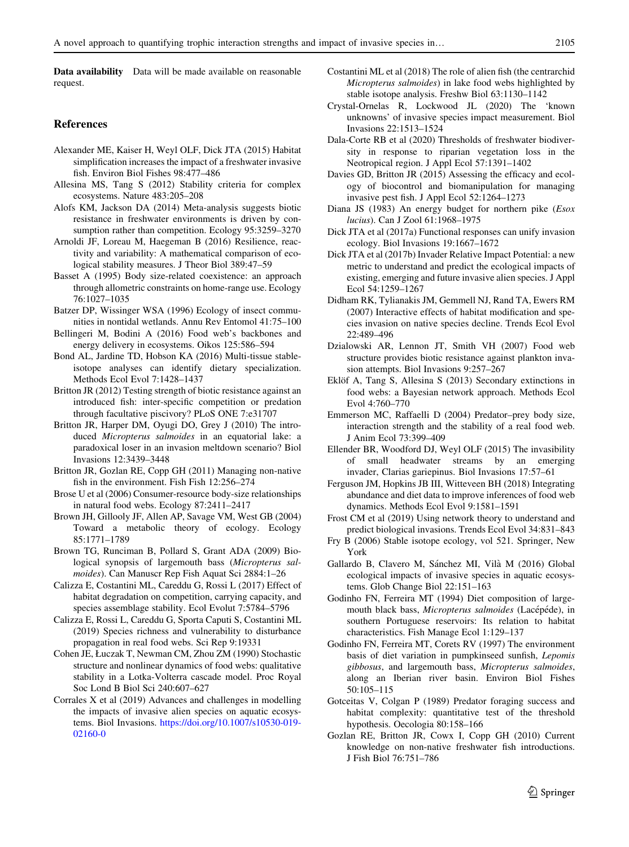<span id="page-12-0"></span>Data availability Data will be made available on reasonable request.

#### References

- Alexander ME, Kaiser H, Weyl OLF, Dick JTA (2015) Habitat simplification increases the impact of a freshwater invasive fish. Environ Biol Fishes 98:477–486
- Allesina MS, Tang S (2012) Stability criteria for complex ecosystems. Nature 483:205–208
- Alofs KM, Jackson DA (2014) Meta-analysis suggests biotic resistance in freshwater environments is driven by consumption rather than competition. Ecology 95:3259–3270
- Arnoldi JF, Loreau M, Haegeman B (2016) Resilience, reactivity and variability: A mathematical comparison of ecological stability measures. J Theor Biol 389:47–59
- Basset A (1995) Body size-related coexistence: an approach through allometric constraints on home-range use. Ecology 76:1027–1035
- Batzer DP, Wissinger WSA (1996) Ecology of insect communities in nontidal wetlands. Annu Rev Entomol 41:75–100
- Bellingeri M, Bodini A (2016) Food web's backbones and energy delivery in ecosystems. Oikos 125:586–594
- Bond AL, Jardine TD, Hobson KA (2016) Multi-tissue stableisotope analyses can identify dietary specialization. Methods Ecol Evol 7:1428–1437
- Britton JR (2012) Testing strength of biotic resistance against an introduced fish: inter-specific competition or predation through facultative piscivory? PLoS ONE 7:e31707
- Britton JR, Harper DM, Oyugi DO, Grey J (2010) The introduced Micropterus salmoides in an equatorial lake: a paradoxical loser in an invasion meltdown scenario? Biol Invasions 12:3439–3448
- Britton JR, Gozlan RE, Copp GH (2011) Managing non-native fish in the environment. Fish Fish 12:256–274
- Brose U et al (2006) Consumer-resource body-size relationships in natural food webs. Ecology 87:2411–2417
- Brown JH, Gillooly JF, Allen AP, Savage VM, West GB (2004) Toward a metabolic theory of ecology. Ecology 85:1771–1789
- Brown TG, Runciman B, Pollard S, Grant ADA (2009) Biological synopsis of largemouth bass (Micropterus salmoides). Can Manuscr Rep Fish Aquat Sci 2884:1–26
- Calizza E, Costantini ML, Careddu G, Rossi L (2017) Effect of habitat degradation on competition, carrying capacity, and species assemblage stability. Ecol Evolut 7:5784–5796
- Calizza E, Rossi L, Careddu G, Sporta Caputi S, Costantini ML (2019) Species richness and vulnerability to disturbance propagation in real food webs. Sci Rep 9:19331
- Cohen JE, Łuczak T, Newman CM, Zhou ZM (1990) Stochastic structure and nonlinear dynamics of food webs: qualitative stability in a Lotka-Volterra cascade model. Proc Royal Soc Lond B Biol Sci 240:607–627
- Corrales X et al (2019) Advances and challenges in modelling the impacts of invasive alien species on aquatic ecosystems. Biol Invasions. [https://doi.org/10.1007/s10530-019-](https://doi.org/10.1007/s10530-019-02160-0) [02160-0](https://doi.org/10.1007/s10530-019-02160-0)
- Costantini ML et al (2018) The role of alien fish (the centrarchid Micropterus salmoides) in lake food webs highlighted by stable isotope analysis. Freshw Biol 63:1130–1142
- Crystal-Ornelas R, Lockwood JL (2020) The 'known unknowns' of invasive species impact measurement. Biol Invasions 22:1513–1524
- Dala-Corte RB et al (2020) Thresholds of freshwater biodiversity in response to riparian vegetation loss in the Neotropical region. J Appl Ecol 57:1391–1402
- Davies GD, Britton JR (2015) Assessing the efficacy and ecology of biocontrol and biomanipulation for managing invasive pest fish. J Appl Ecol 52:1264–1273
- Diana JS (1983) An energy budget for northern pike (Esox lucius). Can J Zool 61:1968–1975
- Dick JTA et al (2017a) Functional responses can unify invasion ecology. Biol Invasions 19:1667–1672
- Dick JTA et al (2017b) Invader Relative Impact Potential: a new metric to understand and predict the ecological impacts of existing, emerging and future invasive alien species. J Appl Ecol 54:1259–1267
- Didham RK, Tylianakis JM, Gemmell NJ, Rand TA, Ewers RM (2007) Interactive effects of habitat modification and species invasion on native species decline. Trends Ecol Evol 22:489–496
- Dzialowski AR, Lennon JT, Smith VH (2007) Food web structure provides biotic resistance against plankton invasion attempts. Biol Invasions 9:257–267
- Eklöf A, Tang S, Allesina S (2013) Secondary extinctions in food webs: a Bayesian network approach. Methods Ecol Evol 4:760–770
- Emmerson MC, Raffaelli D (2004) Predator–prey body size, interaction strength and the stability of a real food web. J Anim Ecol 73:399–409
- Ellender BR, Woodford DJ, Weyl OLF (2015) The invasibility of small headwater streams by an emerging invader, Clarias gariepinus. Biol Invasions 17:57–61
- Ferguson JM, Hopkins JB III, Witteveen BH (2018) Integrating abundance and diet data to improve inferences of food web dynamics. Methods Ecol Evol 9:1581–1591
- Frost CM et al (2019) Using network theory to understand and predict biological invasions. Trends Ecol Evol 34:831–843
- Fry B (2006) Stable isotope ecology, vol 521. Springer, New York
- Gallardo B, Clavero M, Sánchez MI, Vilà M (2016) Global ecological impacts of invasive species in aquatic ecosystems. Glob Change Biol 22:151–163
- Godinho FN, Ferreira MT (1994) Diet composition of largemouth black bass, Micropterus salmoides (Lacépéde), in southern Portuguese reservoirs: Its relation to habitat characteristics. Fish Manage Ecol 1:129–137
- Godinho FN, Ferreira MT, Corets RV (1997) The environment basis of diet variation in pumpkinseed sunfish, Lepomis gibbosus, and largemouth bass, Micropterus salmoides, along an Iberian river basin. Environ Biol Fishes 50:105–115
- Gotceitas V, Colgan P (1989) Predator foraging success and habitat complexity: quantitative test of the threshold hypothesis. Oecologia 80:158–166
- Gozlan RE, Britton JR, Cowx I, Copp GH (2010) Current knowledge on non-native freshwater fish introductions. J Fish Biol 76:751–786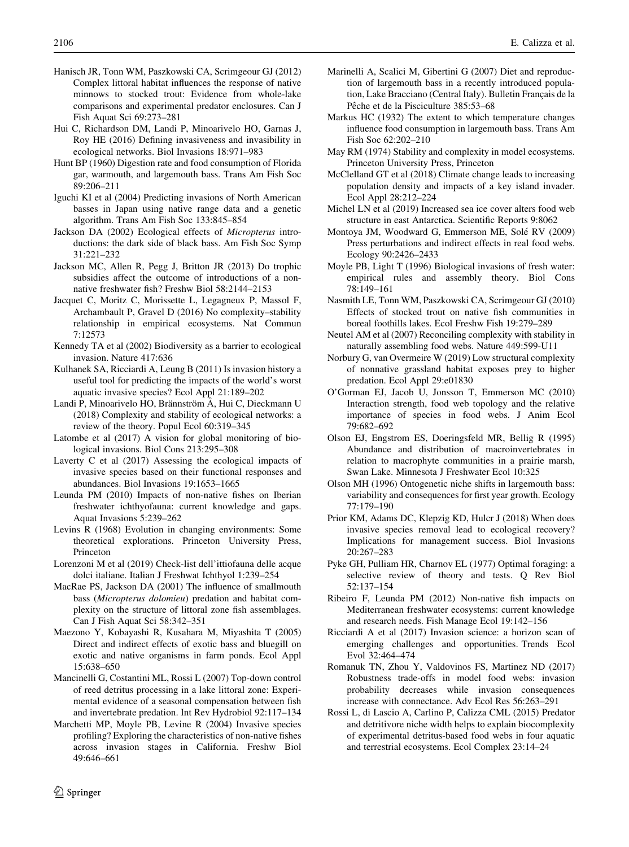- <span id="page-13-0"></span>Hanisch JR, Tonn WM, Paszkowski CA, Scrimgeour GJ (2012) Complex littoral habitat influences the response of native minnows to stocked trout: Evidence from whole-lake comparisons and experimental predator enclosures. Can J Fish Aquat Sci 69:273–281
- Hui C, Richardson DM, Landi P, Minoarivelo HO, Garnas J, Roy HE (2016) Defining invasiveness and invasibility in ecological networks. Biol Invasions 18:971–983
- Hunt BP (1960) Digestion rate and food consumption of Florida gar, warmouth, and largemouth bass. Trans Am Fish Soc 89:206–211
- Iguchi KI et al (2004) Predicting invasions of North American basses in Japan using native range data and a genetic algorithm. Trans Am Fish Soc 133:845–854
- Jackson DA (2002) Ecological effects of Micropterus introductions: the dark side of black bass. Am Fish Soc Symp 31:221–232
- Jackson MC, Allen R, Pegg J, Britton JR (2013) Do trophic subsidies affect the outcome of introductions of a nonnative freshwater fish? Freshw Biol 58:2144–2153
- Jacquet C, Moritz C, Morissette L, Legagneux P, Massol F, Archambault P, Gravel D (2016) No complexity–stability relationship in empirical ecosystems. Nat Commun 7:12573
- Kennedy TA et al (2002) Biodiversity as a barrier to ecological invasion. Nature 417:636
- Kulhanek SA, Ricciardi A, Leung B (2011) Is invasion history a useful tool for predicting the impacts of the world's worst aquatic invasive species? Ecol Appl 21:189–202
- Landi P, Minoarivelo HO, Brännström Å, Hui C, Dieckmann U (2018) Complexity and stability of ecological networks: a review of the theory. Popul Ecol 60:319–345
- Latombe et al (2017) A vision for global monitoring of biological invasions. Biol Cons 213:295–308
- Laverty C et al (2017) Assessing the ecological impacts of invasive species based on their functional responses and abundances. Biol Invasions 19:1653–1665
- Leunda PM (2010) Impacts of non-native fishes on Iberian freshwater ichthyofauna: current knowledge and gaps. Aquat Invasions 5:239–262
- Levins R (1968) Evolution in changing environments: Some theoretical explorations. Princeton University Press, Princeton
- Lorenzoni M et al (2019) Check-list dell'ittiofauna delle acque dolci italiane. Italian J Freshwat Ichthyol 1:239–254
- MacRae PS, Jackson DA (2001) The influence of smallmouth bass (Micropterus dolomieu) predation and habitat complexity on the structure of littoral zone fish assemblages. Can J Fish Aquat Sci 58:342–351
- Maezono Y, Kobayashi R, Kusahara M, Miyashita T (2005) Direct and indirect effects of exotic bass and bluegill on exotic and native organisms in farm ponds. Ecol Appl 15:638–650
- Mancinelli G, Costantini ML, Rossi L (2007) Top-down control of reed detritus processing in a lake littoral zone: Experimental evidence of a seasonal compensation between fish and invertebrate predation. Int Rev Hydrobiol 92:117–134
- Marchetti MP, Moyle PB, Levine R (2004) Invasive species profiling? Exploring the characteristics of non-native fishes across invasion stages in California. Freshw Biol 49:646–661
- Marinelli A, Scalici M, Gibertini G (2007) Diet and reproduction of largemouth bass in a recently introduced population, Lake Bracciano (Central Italy). Bulletin Français de la Pêche et de la Pisciculture 385:53–68
- Markus HC (1932) The extent to which temperature changes influence food consumption in largemouth bass. Trans Am Fish Soc 62:202–210
- May RM (1974) Stability and complexity in model ecosystems. Princeton University Press, Princeton
- McClelland GT et al (2018) Climate change leads to increasing population density and impacts of a key island invader. Ecol Appl 28:212–224
- Michel LN et al (2019) Increased sea ice cover alters food web structure in east Antarctica. Scientific Reports 9:8062
- Montoya JM, Woodward G, Emmerson ME, Sole´ RV (2009) Press perturbations and indirect effects in real food webs. Ecology 90:2426–2433
- Moyle PB, Light T (1996) Biological invasions of fresh water: empirical rules and assembly theory. Biol Cons 78:149–161
- Nasmith LE, Tonn WM, Paszkowski CA, Scrimgeour GJ (2010) Effects of stocked trout on native fish communities in boreal foothills lakes. Ecol Freshw Fish 19:279–289
- Neutel AM et al (2007) Reconciling complexity with stability in naturally assembling food webs. Nature 449:599-U11
- Norbury G, van Overmeire W (2019) Low structural complexity of nonnative grassland habitat exposes prey to higher predation. Ecol Appl 29:e01830
- O'Gorman EJ, Jacob U, Jonsson T, Emmerson MC (2010) Interaction strength, food web topology and the relative importance of species in food webs. J Anim Ecol 79:682–692
- Olson EJ, Engstrom ES, Doeringsfeld MR, Bellig R (1995) Abundance and distribution of macroinvertebrates in relation to macrophyte communities in a prairie marsh, Swan Lake. Minnesota J Freshwater Ecol 10:325
- Olson MH (1996) Ontogenetic niche shifts in largemouth bass: variability and consequences for first year growth. Ecology 77:179–190
- Prior KM, Adams DC, Klepzig KD, Hulcr J (2018) When does invasive species removal lead to ecological recovery? Implications for management success. Biol Invasions 20:267–283
- Pyke GH, Pulliam HR, Charnov EL (1977) Optimal foraging: a selective review of theory and tests. Q Rev Biol 52:137–154
- Ribeiro F, Leunda PM (2012) Non-native fish impacts on Mediterranean freshwater ecosystems: current knowledge and research needs. Fish Manage Ecol 19:142–156
- Ricciardi A et al (2017) Invasion science: a horizon scan of emerging challenges and opportunities. Trends Ecol Evol 32:464–474
- Romanuk TN, Zhou Y, Valdovinos FS, Martinez ND (2017) Robustness trade-offs in model food webs: invasion probability decreases while invasion consequences increase with connectance. Adv Ecol Res 56:263–291
- Rossi L, di Lascio A, Carlino P, Calizza CML (2015) Predator and detritivore niche width helps to explain biocomplexity of experimental detritus-based food webs in four aquatic and terrestrial ecosystems. Ecol Complex 23:14–24